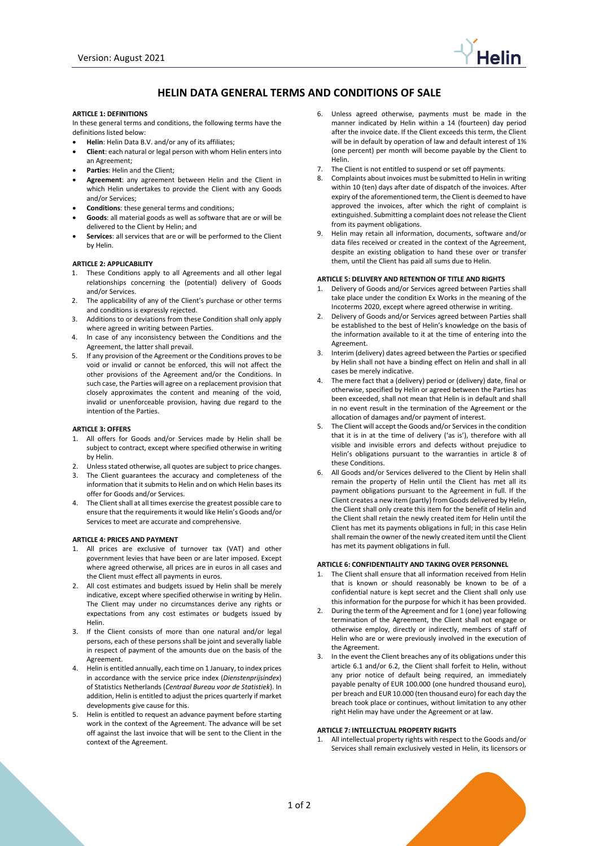

# **HELIN DATA GENERAL TERMS AND CONDITIONS OF SALE**

#### **ARTICLE 1: DEFINITIONS**

In these general terms and conditions, the following terms have the definitions listed below:

- **Helin**: Helin Data B.V. and/or any of its affiliates;
- **Client**: each natural or legal person with whom Helin enters into an Agreement;
- **Parties**: Helin and the Client;
- **Agreement**: any agreement between Helin and the Client in which Helin undertakes to provide the Client with any Goods and/or Services;
- **Conditions**: these general terms and conditions;
- **Goods**: all material goods as well as software that are or will be delivered to the Client by Helin; and
- **Services**: all services that are or will be performed to the Client by Helin.

#### **ARTICLE 2: APPLICABILITY**

- 1. These Conditions apply to all Agreements and all other legal relationships concerning the (potential) delivery of Goods and/or Services.
- 2. The applicability of any of the Client's purchase or other terms and conditions is expressly rejected.
- 3. Additions to or deviations from these Condition shall only apply where agreed in writing between Parties.
- 4. In case of any inconsistency between the Conditions and the Agreement, the latter shall prevail.
- 5. If any provision of the Agreement or the Conditions proves to be void or invalid or cannot be enforced, this will not affect the other provisions of the Agreement and/or the Conditions. In such case, the Parties will agree on a replacement provision that closely approximates the content and meaning of the void, invalid or unenforceable provision, having due regard to the intention of the Parties.

#### **ARTICLE 3: OFFERS**

- 1. All offers for Goods and/or Services made by Helin shall be subject to contract, except where specified otherwise in writing by Helin.
- 2. Unless stated otherwise, all quotes are subject to price changes.
- 3. The Client guarantees the accuracy and completeness of the information that it submits to Helin and on which Helin bases its offer for Goods and/or Services.
- 4. The Client shall at all times exercise the greatest possible care to ensure that the requirements it would like Helin's Goods and/or Services to meet are accurate and comprehensive.

#### **ARTICLE 4: PRICES AND PAYMENT**

- 1. All prices are exclusive of turnover tax (VAT) and other government levies that have been or are later imposed. Except where agreed otherwise, all prices are in euros in all cases and the Client must effect all payments in euros.
- 2. All cost estimates and budgets issued by Helin shall be merely indicative, except where specified otherwise in writing by Helin. The Client may under no circumstances derive any rights or expectations from any cost estimates or budgets issued by Helin.
- 3. If the Client consists of more than one natural and/or legal persons, each of these persons shall be joint and severally liable in respect of payment of the amounts due on the basis of the Agreement.
- 4. Helin is entitled annually, each time on 1 January, to index prices in accordance with the service price index (*Dienstenprijsindex*) of Statistics Netherlands (*Centraal Bureau voor de Statistiek*). In addition, Helin is entitled to adjust the prices quarterly if market developments give cause for this.
- 5. Helin is entitled to request an advance payment before starting work in the context of the Agreement. The advance will be set off against the last invoice that will be sent to the Client in the context of the Agreement.
- 6. Unless agreed otherwise, payments must be made in the manner indicated by Helin within a 14 (fourteen) day period after the invoice date. If the Client exceeds this term, the Client will be in default by operation of law and default interest of 1% (one percent) per month will become payable by the Client to Helin.
- 7. The Client is not entitled to suspend or set off payments.
- 8. Complaints about invoices must be submitted to Helin in writing within 10 (ten) days after date of dispatch of the invoices. After expiry of the aforementioned term, the Client is deemed to have approved the invoices, after which the right of complaint is extinguished. Submitting a complaint does not release the Client from its payment obligations.
- 9. Helin may retain all information, documents, software and/or data files received or created in the context of the Agreement, despite an existing obligation to hand these over or transfer them, until the Client has paid all sums due to Helin.

## **ARTICLE 5: DELIVERY AND RETENTION OF TITLE AND RIGHTS**

- 1. Delivery of Goods and/or Services agreed between Parties shall take place under the condition Ex Works in the meaning of the Incoterms 2020, except where agreed otherwise in writing.
- 2. Delivery of Goods and/or Services agreed between Parties shall be established to the best of Helin's knowledge on the basis of the information available to it at the time of entering into the Agreement.
- 3. Interim (delivery) dates agreed between the Parties or specified by Helin shall not have a binding effect on Helin and shall in all cases be merely indicative.
- The mere fact that a (delivery) period or (delivery) date, final or otherwise, specified by Helin or agreed between the Parties has been exceeded, shall not mean that Helin is in default and shall in no event result in the termination of the Agreement or the allocation of damages and/or payment of interest.
- The Client will accept the Goods and/or Services in the condition that it is in at the time of delivery ('as is'), therefore with all visible and invisible errors and defects without prejudice to Helin's obligations pursuant to the warranties in article 8 of these Conditions.
- 6. All Goods and/or Services delivered to the Client by Helin shall remain the property of Helin until the Client has met all its payment obligations pursuant to the Agreement in full. If the Client creates a new item (partly) from Goods delivered by Helin, the Client shall only create this item for the benefit of Helin and the Client shall retain the newly created item for Helin until the Client has met its payments obligations in full; in this case Helin shall remain the owner of the newly created item until the Client has met its payment obligations in full.

### **ARTICLE 6: CONFIDENTIALITY AND TAKING OVER PERSONNEL**

- 1. The Client shall ensure that all information received from Helin that is known or should reasonably be known to be of a confidential nature is kept secret and the Client shall only use this information for the purpose for which it has been provided.
- 2. During the term of the Agreement and for 1 (one) year following termination of the Agreement, the Client shall not engage or otherwise employ, directly or indirectly, members of staff of Helin who are or were previously involved in the execution of the Agreement.
- 3. In the event the Client breaches any of its obligations under this article 6.1 and/or 6.2, the Client shall forfeit to Helin, without any prior notice of default being required, an immediately payable penalty of EUR 100.000 (one hundred thousand euro), per breach and EUR 10.000 (ten thousand euro) for each day the breach took place or continues, without limitation to any other right Helin may have under the Agreement or at law.

#### **ARTICLE 7: INTELLECTUAL PROPERTY RIGHTS**

1. All intellectual property rights with respect to the Goods and/or Services shall remain exclusively vested in Helin, its licensors or